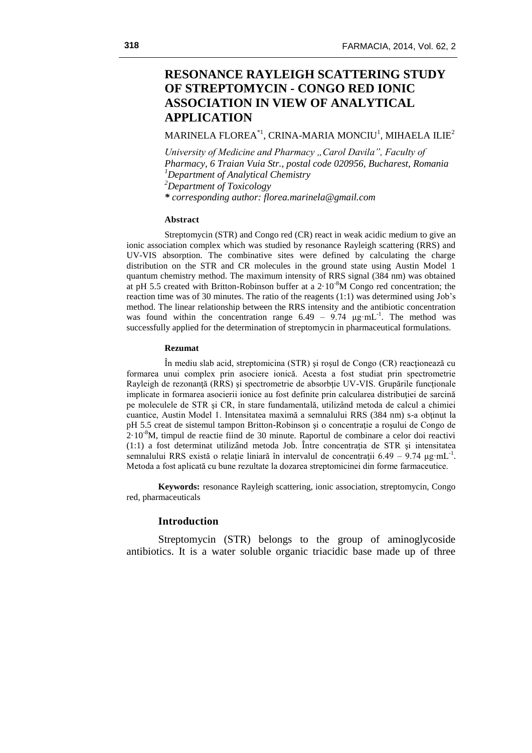# **RESONANCE RAYLEIGH SCATTERING STUDY OF STREPTOMYCIN - CONGO RED IONIC ASSOCIATION IN VIEW OF ANALYTICAL APPLICATION**

MARINELA FLOREA $^\ast$ ', CRINA-MARIA MONCIU' $_\ast$  MIHAELA ILIE $^2$ 

*University of Medicine and Pharmacy "Carol Davila", Faculty of Pharmacy, 6 Traian Vuia Str., postal code 020956, Bucharest, Romania <sup>1</sup>Department of Analytical Chemistry <sup>2</sup>Department of Toxicology \* corresponding author: florea.marinela@gmail.com*

### **Abstract**

Streptomycin (STR) and Congo red (CR) react in weak acidic medium to give an ionic association complex which was studied by resonance Rayleigh scattering (RRS) and UV-VIS absorption. The combinative sites were defined by calculating the charge distribution on the STR and CR molecules in the ground state using Austin Model 1 quantum chemistry method. The maximum intensity of RRS signal (384 nm) was obtained at pH 5.5 created with Britton-Robinson buffer at a  $2.10^{-8}M$  Congo red concentration; the reaction time was of 30 minutes. The ratio of the reagents (1:1) was determined using Job's method. The linear relationship between the RRS intensity and the antibiotic concentration was found within the concentration range  $6.49 - 9.74 \mu g \cdot mL^{-1}$ . The method was successfully applied for the determination of streptomycin in pharmaceutical formulations.

#### **Rezumat**

În mediu slab acid, streptomicina (STR) şi roşul de Congo (CR) reacţionează cu formarea unui complex prin asociere ionică. Acesta a fost studiat prin spectrometrie Rayleigh de rezonanță (RRS) și spectrometrie de absorbție UV-VIS. Grupările funcționale implicate in formarea asocierii ionice au fost definite prin calcularea distribuției de sarcină pe moleculele de STR şi CR, în stare fundamentală, utilizând metoda de calcul a chimiei cuantice, Austin Model 1. Intensitatea maximă a semnalului RRS (384 nm) s-a obţinut la pH 5.5 creat de sistemul tampon Britton-Robinson şi o concentraţie a roşului de Congo de  $2.10<sup>-8</sup>M$ , timpul de reactie fiind de 30 minute. Raportul de combinare a celor doi reactivi  $(1:1)$  a fost determinat utilizând metoda Job. Între concentrația de STR și intensitatea semnalului RRS există o relație liniară în intervalul de concentrații  $6.49 - 9.74 \mu g \cdot mL^{-1}$ . Metoda a fost aplicată cu bune rezultate la dozarea streptomicinei din forme farmaceutice.

**Keywords:** resonance Rayleigh scattering, ionic association, streptomycin, Congo red, pharmaceuticals

### **Introduction**

Streptomycin (STR) belongs to the group of aminoglycoside antibiotics. It is a water soluble organic triacidic base made up of three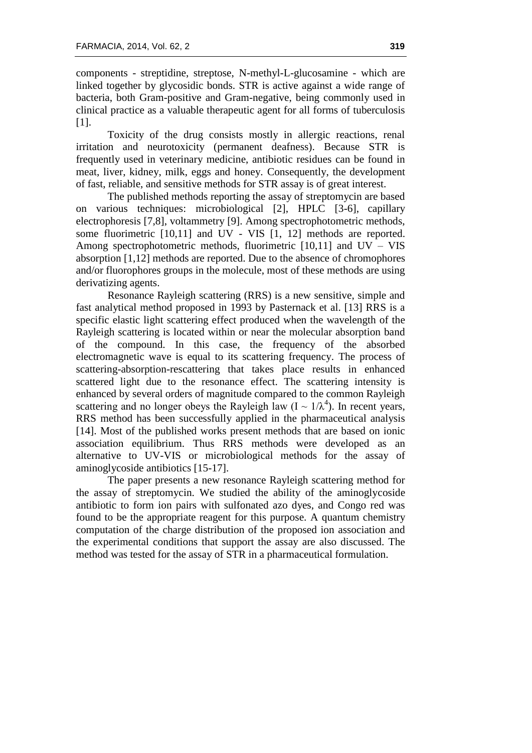components - streptidine, streptose, N-methyl-L-glucosamine - which are linked together by glycosidic bonds. STR is active against a wide range of bacteria, both Gram-positive and Gram-negative, being commonly used in clinical practice as a valuable therapeutic agent for all forms of tuberculosis [1].

Toxicity of the drug consists mostly in allergic reactions, renal irritation and neurotoxicity (permanent deafness). Because STR is frequently used in veterinary medicine, antibiotic residues can be found in meat, liver, kidney, milk, eggs and honey. Consequently, the development of fast, reliable, and sensitive methods for STR assay is of great interest.

The published methods reporting the assay of streptomycin are based on various techniques: microbiological [2], HPLC [3-6], capillary electrophoresis [7,8], voltammetry [9]. Among spectrophotometric methods, some fluorimetric [10,11] and UV - VIS [1, 12] methods are reported. Among spectrophotometric methods, fluorimetric  $[10,11]$  and  $UV - VIS$ absorption [1,12] methods are reported. Due to the absence of chromophores and/or fluorophores groups in the molecule, most of these methods are using derivatizing agents.

Resonance Rayleigh scattering (RRS) is a new sensitive, simple and fast analytical method proposed in 1993 by Pasternack et al. [13] RRS is a specific elastic light scattering effect produced when the wavelength of the Rayleigh scattering is located within or near the molecular absorption band of the compound. In this case, the frequency of the absorbed electromagnetic wave is equal to its scattering frequency. The process of scattering-absorption-rescattering that takes place results in enhanced scattered light due to the resonance effect. The scattering intensity is enhanced by several orders of magnitude compared to the common Rayleigh scattering and no longer obeys the Rayleigh law  $(I \sim 1/\lambda^4)$ . In recent years, RRS method has been successfully applied in the pharmaceutical analysis [14]. Most of the published works present methods that are based on ionic association equilibrium. Thus RRS methods were developed as an alternative to UV-VIS or microbiological methods for the assay of aminoglycoside antibiotics [15-17].

The paper presents a new resonance Rayleigh scattering method for the assay of streptomycin. We studied the ability of the aminoglycoside antibiotic to form ion pairs with sulfonated azo dyes, and Congo red was found to be the appropriate reagent for this purpose. A quantum chemistry computation of the charge distribution of the proposed ion association and the experimental conditions that support the assay are also discussed. The method was tested for the assay of STR in a pharmaceutical formulation.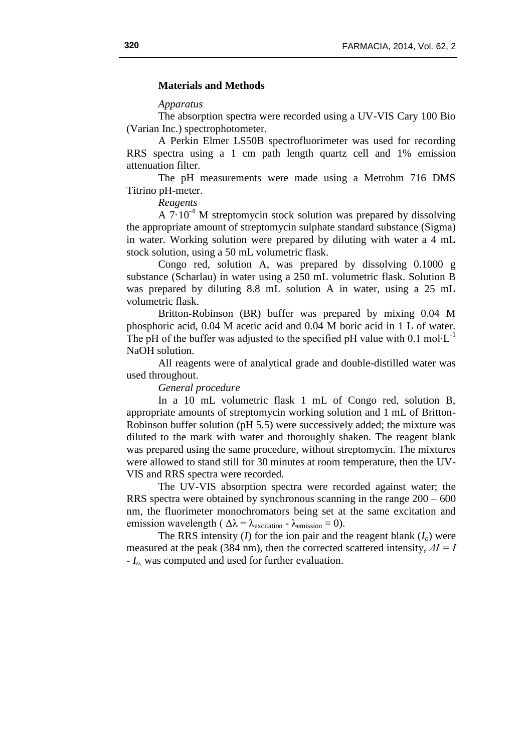### **Materials and Methods**

### *Apparatus*

The absorption spectra were recorded using a UV-VIS Cary 100 Bio (Varian Inc.) spectrophotometer.

A Perkin Elmer LS50B spectrofluorimeter was used for recording RRS spectra using a 1 cm path length quartz cell and 1% emission attenuation filter.

The pH measurements were made using a Metrohm 716 DMS Titrino pH-meter.

*Reagents*

A  $7.10^{-4}$  M streptomycin stock solution was prepared by dissolving the appropriate amount of streptomycin sulphate standard substance (Sigma) in water. Working solution were prepared by diluting with water a 4 mL stock solution, using a 50 mL volumetric flask.

Congo red, solution A, was prepared by dissolving 0.1000 g substance (Scharlau) in water using a 250 mL volumetric flask. Solution B was prepared by diluting 8.8 mL solution A in water, using a 25 mL volumetric flask.

Britton-Robinson (BR) buffer was prepared by mixing 0.04 M phosphoric acid, 0.04 M acetic acid and 0.04 M boric acid in 1 L of water. The pH of the buffer was adjusted to the specified pH value with 0.1 mol⋅L<sup>-1</sup> NaOH solution.

All reagents were of analytical grade and double-distilled water was used throughout.

*General procedure*

In a 10 mL volumetric flask 1 mL of Congo red, solution B, appropriate amounts of streptomycin working solution and 1 mL of Britton-Robinson buffer solution (pH 5.5) were successively added; the mixture was diluted to the mark with water and thoroughly shaken. The reagent blank was prepared using the same procedure, without streptomycin. The mixtures were allowed to stand still for 30 minutes at room temperature, then the UV-VIS and RRS spectra were recorded.

The UV-VIS absorption spectra were recorded against water; the RRS spectra were obtained by synchronous scanning in the range 200 – 600 nm, the fluorimeter monochromators being set at the same excitation and emission wavelength ( $\Delta \lambda = \lambda_{\text{excitation}} - \lambda_{\text{emission}} = 0$ ).

The RRS intensity (*I*) for the ion pair and the reagent blank  $(I<sub>o</sub>)$  were measured at the peak (384 nm), then the corrected scattered intensity, *ΔI = I - Io*, was computed and used for further evaluation.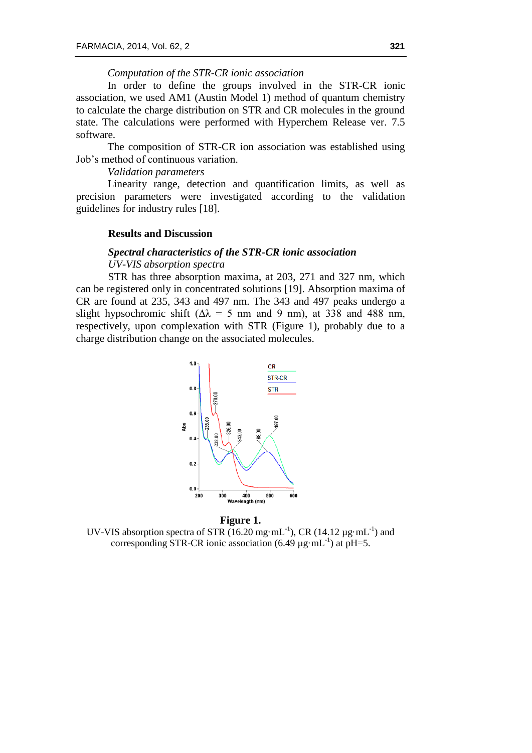# *Computation of the STR-CR ionic association*

In order to define the groups involved in the STR-CR ionic association, we used AM1 (Austin Model 1) method of quantum chemistry to calculate the charge distribution on STR and CR molecules in the ground state. The calculations were performed with Hyperchem Release ver. 7.5 software.

The composition of STR-CR ion association was established using Job's method of continuous variation.

# *Validation parameters*

Linearity range, detection and quantification limits, as well as precision parameters were investigated according to the validation guidelines for industry rules [18].

### **Results and Discussion**

# *Spectral characteristics of the STR-CR ionic association*

*UV-VIS absorption spectra* 

STR has three absorption maxima, at 203, 271 and 327 nm, which can be registered only in concentrated solutions [19]. Absorption maxima of CR are found at 235, 343 and 497 nm. The 343 and 497 peaks undergo a slight hypsochromic shift ( $\Delta \lambda$  = 5 nm and 9 nm), at 338 and 488 nm, respectively, upon complexation with STR (Figure 1), probably due to a charge distribution change on the associated molecules.





UV-VIS absorption spectra of STR  $(16.20 \text{ mg} \cdot \text{mL}^{-1})$ , CR  $(14.12 \text{ µg} \cdot \text{mL}^{-1})$  and corresponding STR-CR ionic association  $(6.49 \mu g \cdot mL^{-1})$  at pH=5.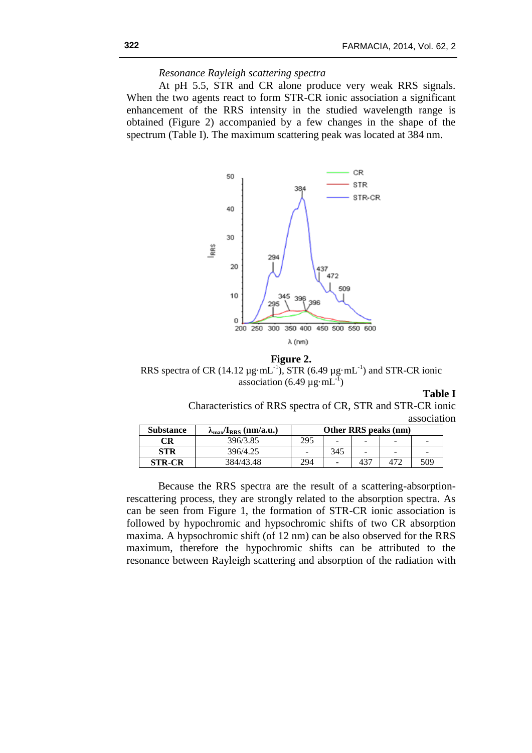# *Resonance Rayleigh scattering spectra*

At pH 5.5, STR and CR alone produce very weak RRS signals. When the two agents react to form STR-CR ionic association a significant enhancement of the RRS intensity in the studied wavelength range is obtained (Figure 2) accompanied by a few changes in the shape of the spectrum (Table I). The maximum scattering peak was located at 384 nm.



**Figure 2.**

RRS spectra of CR (14.12  $\mu$ g·mL<sup>-1</sup>), STR (6.49  $\mu$ g·mL<sup>-1</sup>) and STR-CR ionic association (6.49  $\mu$ g·mL<sup>-1</sup>)

**Table I**

Characteristics of RRS spectra of CR, STR and STR-CR ionic association

| <b>Substance</b> | $\lambda_{\text{max}}/\mathbf{I}_{\text{RRS}}$ (nm/a.u.) | Other RRS peaks (nm) |                          |                 |                          |                          |
|------------------|----------------------------------------------------------|----------------------|--------------------------|-----------------|--------------------------|--------------------------|
| CR               | 396/3.85                                                 | 295                  | $\overline{\phantom{0}}$ |                 |                          |                          |
| <b>STR</b>       | 396/4.25                                                 | -                    | 345                      | $\qquad \qquad$ | $\overline{\phantom{a}}$ | $\overline{\phantom{a}}$ |
| <b>STR-CR</b>    | 384/43.48                                                | 294                  | $\overline{\phantom{a}}$ | 437             |                          | 509                      |

Because the RRS spectra are the result of a scattering-absorptionrescattering process, they are strongly related to the absorption spectra. As can be seen from Figure 1, the formation of STR-CR ionic association is followed by hypochromic and hypsochromic shifts of two CR absorption maxima. A hypsochromic shift (of 12 nm) can be also observed for the RRS maximum, therefore the hypochromic shifts can be attributed to the resonance between Rayleigh scattering and absorption of the radiation with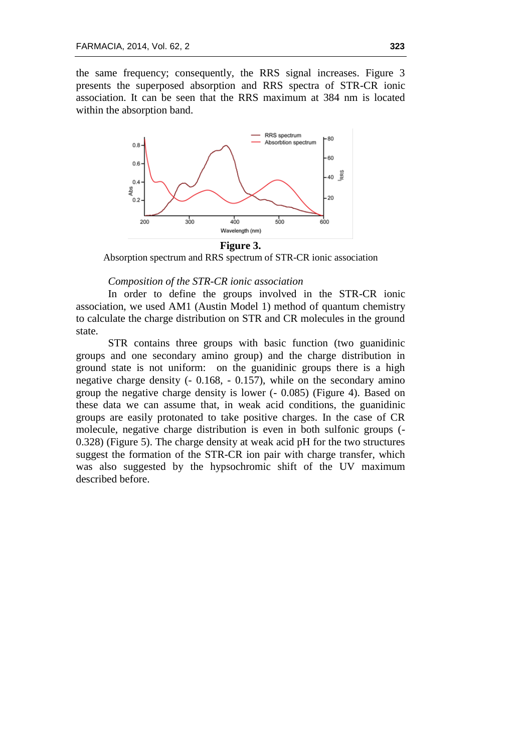the same frequency; consequently, the RRS signal increases. Figure 3 presents the superposed absorption and RRS spectra of STR-CR ionic association. It can be seen that the RRS maximum at 384 nm is located within the absorption band.



#### **Figure 3.**

Absorption spectrum and RRS spectrum of STR-CR ionic association

### *Composition of the STR-CR ionic association*

In order to define the groups involved in the STR-CR ionic association, we used AM1 (Austin Model 1) method of quantum chemistry to calculate the charge distribution on STR and CR molecules in the ground state.

STR contains three groups with basic function (two guanidinic groups and one secondary amino group) and the charge distribution in ground state is not uniform: on the guanidinic groups there is a high negative charge density (- 0.168, - 0.157), while on the secondary amino group the negative charge density is lower (- 0.085) (Figure 4). Based on these data we can assume that, in weak acid conditions, the guanidinic groups are easily protonated to take positive charges. In the case of CR molecule, negative charge distribution is even in both sulfonic groups (- 0.328) (Figure 5). The charge density at weak acid pH for the two structures suggest the formation of the STR-CR ion pair with charge transfer, which was also suggested by the hypsochromic shift of the UV maximum described before.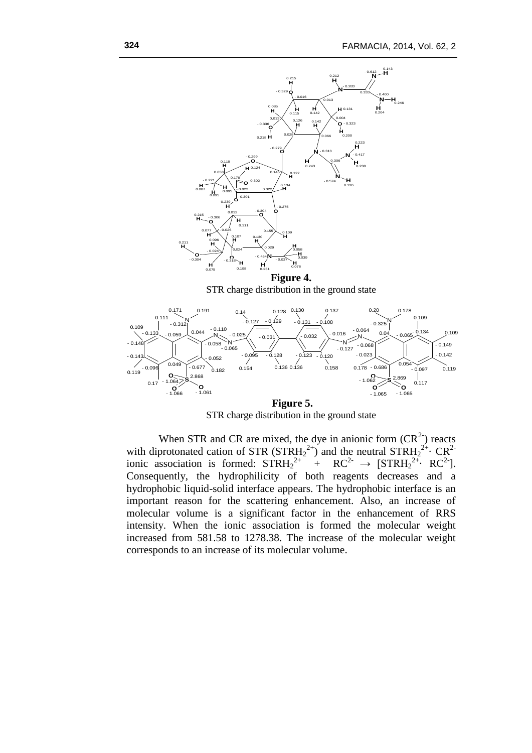

STR charge distribution in the ground state

When STR and CR are mixed, the dye in anionic form  $(CR<sup>2</sup>)$  reacts with diprotonated cation of STR  $(STRH_2^{2+})$  and the neutral  $STRH_2^{2+}$  CR<sup>2-</sup> ionic association is formed:  $\text{STRH}_2^{2+} + \text{RC}^{2-} \rightarrow \text{[STRH}_2^{2+} \cdot \text{RC}^{2-}].$ Consequently, the hydrophilicity of both reagents decreases and a hydrophobic liquid-solid interface appears. The hydrophobic interface is an important reason for the scattering enhancement. Also, an increase of molecular volume is a significant factor in the enhancement of RRS intensity. When the ionic association is formed the molecular weight increased from 581.58 to 1278.38. The increase of the molecular weight corresponds to an increase of its molecular volume.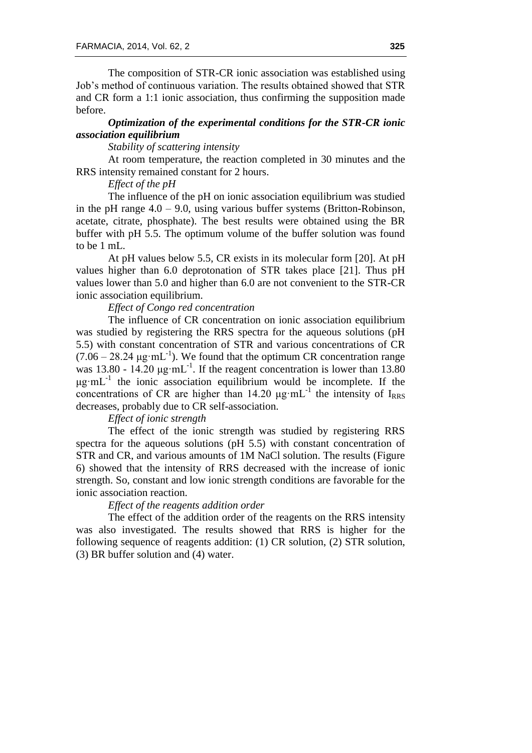The composition of STR-CR ionic association was established using Job's method of continuous variation. The results obtained showed that STR and CR form a 1:1 ionic association, thus confirming the supposition made before.

# *Optimization of the experimental conditions for the STR-CR ionic association equilibrium*

### *Stability of scattering intensity*

At room temperature, the reaction completed in 30 minutes and the RRS intensity remained constant for 2 hours.

# *Effect of the pH*

The influence of the pH on ionic association equilibrium was studied in the pH range 4.0 – 9.0, using various buffer systems (Britton-Robinson, acetate, citrate, phosphate). The best results were obtained using the BR buffer with pH 5.5. The optimum volume of the buffer solution was found to be 1 mL.

At pH values below 5.5, CR exists in its molecular form [20]. At pH values higher than 6.0 deprotonation of STR takes place [21]. Thus pH values lower than 5.0 and higher than 6.0 are not convenient to the STR-CR ionic association equilibrium.

# *Effect of Congo red concentration*

The influence of CR concentration on ionic association equilibrium was studied by registering the RRS spectra for the aqueous solutions (pH 5.5) with constant concentration of STR and various concentrations of CR  $(7.06 - 28.24 \,\mu\text{g} \cdot \text{mL}^{-1})$ . We found that the optimum CR concentration range was 13.80 - 14.20  $\mu$ g·mL<sup>-1</sup>. If the reagent concentration is lower than 13.80  $\mu$ g·mL<sup>-1</sup> the ionic association equilibrium would be incomplete. If the concentrations of CR are higher than  $14.20 \mu g \text{ mL}^{-1}$  the intensity of I<sub>RRS</sub> decreases, probably due to CR self-association.

# *Effect of ionic strength*

The effect of the ionic strength was studied by registering RRS spectra for the aqueous solutions (pH 5.5) with constant concentration of STR and CR, and various amounts of 1M NaCl solution. The results (Figure 6) showed that the intensity of RRS decreased with the increase of ionic strength. So, constant and low ionic strength conditions are favorable for the ionic association reaction.

# *Effect of the reagents addition order*

The effect of the addition order of the reagents on the RRS intensity was also investigated. The results showed that RRS is higher for the following sequence of reagents addition: (1) CR solution, (2) STR solution, (3) BR buffer solution and (4) water.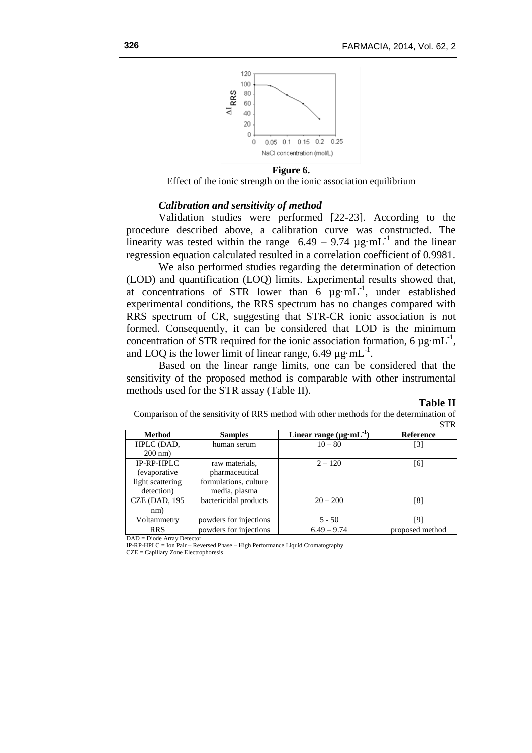

**Figure 6.**

Effect of the ionic strength on the ionic association equilibrium

### *Calibration and sensitivity of method*

Validation studies were performed [22-23]. According to the procedure described above, a calibration curve was constructed. The linearity was tested within the range  $6.49 - 9.74 \mu g \cdot mL^{-1}$  and the linear regression equation calculated resulted in a correlation coefficient of 0.9981.

We also performed studies regarding the determination of detection (LOD) and quantification (LOQ) limits. Experimental results showed that, at concentrations of STR lower than  $\vec{6}$   $\mu$ g·mL<sup>-1</sup>, under established experimental conditions, the RRS spectrum has no changes compared with RRS spectrum of CR, suggesting that STR-CR ionic association is not formed. Consequently, it can be considered that LOD is the minimum concentration of STR required for the ionic association formation, 6  $\mu$ g·mL<sup>-1</sup>, and LOQ is the lower limit of linear range, 6.49  $\mu$ g·mL<sup>-1</sup>.

Based on the linear range limits, one can be considered that the sensitivity of the proposed method is comparable with other instrumental methods used for the STR assay (Table II).

### **Table II**

Comparison of the sensitivity of RRS method with other methods for the determination of STR

| <b>Method</b>             | <b>Samples</b>         | Linear range $(\mu g \cdot mL^{-1})$ | <b>Reference</b> |  |  |  |
|---------------------------|------------------------|--------------------------------------|------------------|--|--|--|
| HPLC (DAD,                | human serum            | $10 - 80$                            | [3]              |  |  |  |
| $200 \text{ nm}$ )        |                        |                                      |                  |  |  |  |
| $IP-RP-HPLC$              | raw materials.         | $2 - 120$                            | [6]              |  |  |  |
| (evaporative)             | pharmaceutical         |                                      |                  |  |  |  |
| light scattering          | formulations, culture  |                                      |                  |  |  |  |
| detection)                | media, plasma          |                                      |                  |  |  |  |
| <b>CZE (DAD, 195)</b>     | bactericidal products  | $20 - 200$                           | [8]              |  |  |  |
| nm)                       |                        |                                      |                  |  |  |  |
| Voltammetry               | powders for injections | $5 - 50$                             | [9]              |  |  |  |
| <b>RRS</b>                | powders for injections | $6.49 - 9.74$                        | proposed method  |  |  |  |
| $DAD = D1.4$ , $A = D1.4$ |                        |                                      |                  |  |  |  |

DAD = Diode Array Detector

IP-RP-HPLC = Ion Pair – Reversed Phase – High Performance Liquid Cromatography CZE = Capillary Zone Electrophoresis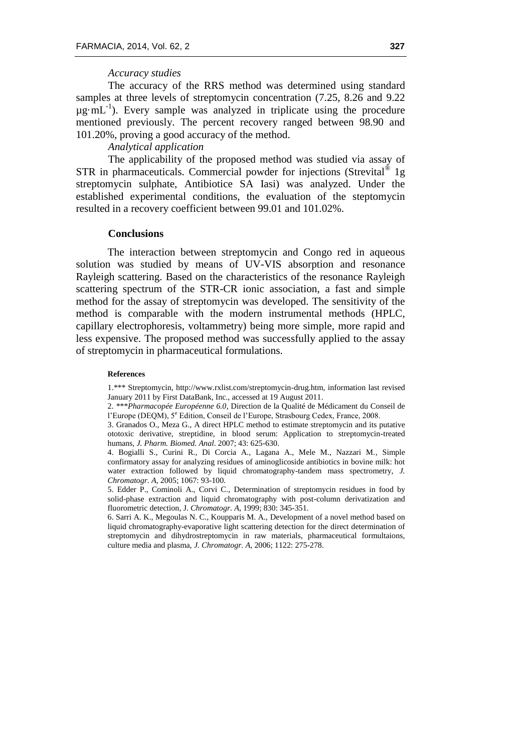## *Accuracy studies*

The accuracy of the RRS method was determined using standard samples at three levels of streptomycin concentration (7.25, 8.26 and 9.22  $\mu$ g·mL<sup>-1</sup>). Every sample was analyzed in triplicate using the procedure mentioned previously. The percent recovery ranged between 98.90 and 101.20%, proving a good accuracy of the method.

# *Analytical application*

The applicability of the proposed method was studied via assay of STR in pharmaceuticals. Commercial powder for injections (Strevital® 1g streptomycin sulphate, Antibiotice SA Iasi) was analyzed. Under the established experimental conditions, the evaluation of the steptomycin resulted in a recovery coefficient between 99.01 and 101.02%.

### **Conclusions**

The interaction between streptomycin and Congo red in aqueous solution was studied by means of UV-VIS absorption and resonance Rayleigh scattering. Based on the characteristics of the resonance Rayleigh scattering spectrum of the STR-CR ionic association, a fast and simple method for the assay of streptomycin was developed. The sensitivity of the method is comparable with the modern instrumental methods (HPLC, capillary electrophoresis, voltammetry) being more simple, more rapid and less expensive. The proposed method was successfully applied to the assay of streptomycin in pharmaceutical formulations.

#### **References**

1.\*\*\* Streptomycin, http://www.rxlist.com/streptomycin-drug.htm, information last revised January 2011 by First DataBank, Inc., accessed at 19 August 2011.

2. \*\*\**Pharmacopée Européenne 6.0*, Direction de la Qualité de Médicament du Conseil de l'Europe (DEQM), 5<sup>e</sup> Edition, Conseil de l'Europe, Strasbourg Cedex, France, 2008.

3. Granados O., Meza G., A direct HPLC method to estimate streptomycin and its putative ototoxic derivative, streptidine, in blood serum: Application to streptomycin-treated humans, *J. Pharm. Biomed. Anal*. 2007; 43: 625-630.

4. Bogialli S., Curini R., Di Corcia A., Lagana A., Mele M., Nazzari M.*,* Simple confirmatory assay for analyzing residues of aminoglicoside antibiotics in bovine milk: hot water extraction followed by liquid chromatography-tandem mass spectrometry, *J. Chromatogr. A*, 2005; 1067: 93-100.

5. Edder P., Cominoli A., Corvi C., Determination of streptomycin residues in food by solid-phase extraction and liquid chromatography with post-column derivatization and fluorometric detection, J. *Chromatogr. A*, 1999; 830: 345-351.

6. Sarri A. K., Megoulas N. C., Koupparis M. A., Development of a novel method based on liquid chromatography-evaporative light scattering detection for the direct determination of streptomycin and dihydrostreptomycin in raw materials, pharmaceutical formultaions, culture media and plasma, *J. Chromatogr. A*, 2006; 1122: 275-278.